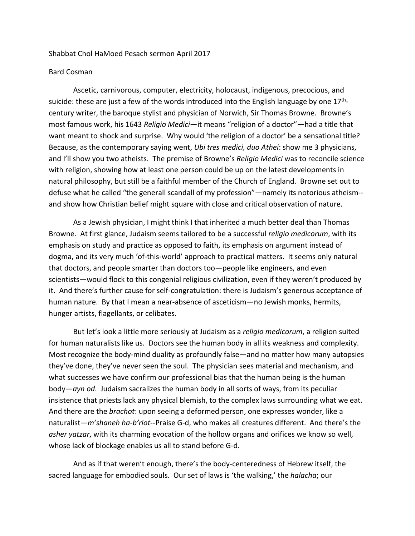## Shabbat Chol HaMoed Pesach sermon April 2017

## Bard Cosman

Ascetic, carnivorous, computer, electricity, holocaust, indigenous, precocious, and suicide: these are just a few of the words introduced into the English language by one  $17<sup>th</sup>$ century writer, the baroque stylist and physician of Norwich, Sir Thomas Browne. Browne's most famous work, his 1643 *Religio Medici*—it means "religion of a doctor"—had a title that want meant to shock and surprise. Why would 'the religion of a doctor' be a sensational title? Because, as the contemporary saying went, *Ubi tres medici, duo Athei*: show me 3 physicians, and I'll show you two atheists. The premise of Browne's *Religio Medici* was to reconcile science with religion, showing how at least one person could be up on the latest developments in natural philosophy, but still be a faithful member of the Church of England. Browne set out to defuse what he called "the generall scandall of my profession"—namely its notorious atheism- and show how Christian belief might square with close and critical observation of nature.

As a Jewish physician, I might think I that inherited a much better deal than Thomas Browne. At first glance, Judaism seems tailored to be a successful *religio medicorum*, with its emphasis on study and practice as opposed to faith, its emphasis on argument instead of dogma, and its very much 'of-this-world' approach to practical matters. It seems only natural that doctors, and people smarter than doctors too—people like engineers, and even scientists—would flock to this congenial religious civilization, even if they weren't produced by it. And there's further cause for self-congratulation: there is Judaism's generous acceptance of human nature. By that I mean a near-absence of asceticism—no Jewish monks, hermits, hunger artists, flagellants, or celibates.

But let's look a little more seriously at Judaism as a *religio medicorum*, a religion suited for human naturalists like us. Doctors see the human body in all its weakness and complexity. Most recognize the body-mind duality as profoundly false—and no matter how many autopsies they've done, they've never seen the soul. The physician sees material and mechanism, and what successes we have confirm our professional bias that the human being is the human body—*ayn od*. Judaism sacralizes the human body in all sorts of ways, from its peculiar insistence that priests lack any physical blemish, to the complex laws surrounding what we eat. And there are the *brachot*: upon seeing a deformed person, one expresses wonder, like a naturalist—*m'shaneh ha-b'riot*--Praise G-d, who makes all creatures different. And there's the *asher yatzar*, with its charming evocation of the hollow organs and orifices we know so well, whose lack of blockage enables us all to stand before G-d.

And as if that weren't enough, there's the body-centeredness of Hebrew itself, the sacred language for embodied souls. Our set of laws is 'the walking,' the *halacha*; our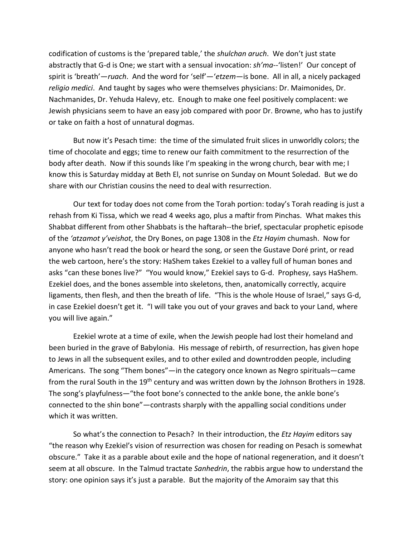codification of customs is the 'prepared table,' the *shulchan aruch*. We don't just state abstractly that G-d is One; we start with a sensual invocation: *sh'ma--*'listen!' Our concept of spirit is 'breath'—*ruach*. And the word for 'self'—'*etzem*—is bone. All in all, a nicely packaged *religio medici*. And taught by sages who were themselves physicians: Dr. Maimonides, Dr. Nachmanides, Dr. Yehuda Halevy, etc. Enough to make one feel positively complacent: we Jewish physicians seem to have an easy job compared with poor Dr. Browne, who has to justify or take on faith a host of unnatural dogmas.

But now it's Pesach time: the time of the simulated fruit slices in unworldly colors; the time of chocolate and eggs; time to renew our faith commitment to the resurrection of the body after death. Now if this sounds like I'm speaking in the wrong church, bear with me; I know this is Saturday midday at Beth El, not sunrise on Sunday on Mount Soledad. But we do share with our Christian cousins the need to deal with resurrection.

Our text for today does not come from the Torah portion: today's Torah reading is just a rehash from Ki Tissa, which we read 4 weeks ago, plus a maftir from Pinchas. What makes this Shabbat different from other Shabbats is the haftarah--the brief, spectacular prophetic episode of the *'atzamot y'veishot*, the Dry Bones, on page 1308 in the *Etz Hayim* chumash. Now for anyone who hasn't read the book or heard the song, or seen the Gustave Doré print, or read the web cartoon, here's the story: HaShem takes Ezekiel to a valley full of human bones and asks "can these bones live?" "You would know," Ezekiel says to G-d. Prophesy, says HaShem. Ezekiel does, and the bones assemble into skeletons, then, anatomically correctly, acquire ligaments, then flesh, and then the breath of life. "This is the whole House of Israel," says G-d, in case Ezekiel doesn't get it. "I will take you out of your graves and back to your Land, where you will live again."

Ezekiel wrote at a time of exile, when the Jewish people had lost their homeland and been buried in the grave of Babylonia. His message of rebirth, of resurrection, has given hope to Jews in all the subsequent exiles, and to other exiled and downtrodden people, including Americans. The song "Them bones"—in the category once known as Negro spirituals—came from the rural South in the 19<sup>th</sup> century and was written down by the Johnson Brothers in 1928. The song's playfulness—"the foot bone's connected to the ankle bone, the ankle bone's connected to the shin bone"—contrasts sharply with the appalling social conditions under which it was written.

So what's the connection to Pesach? In their introduction, the *Etz Hayim* editors say "the reason why Ezekiel's vision of resurrection was chosen for reading on Pesach is somewhat obscure." Take it as a parable about exile and the hope of national regeneration, and it doesn't seem at all obscure. In the Talmud tractate *Sanhedrin*, the rabbis argue how to understand the story: one opinion says it's just a parable. But the majority of the Amoraim say that this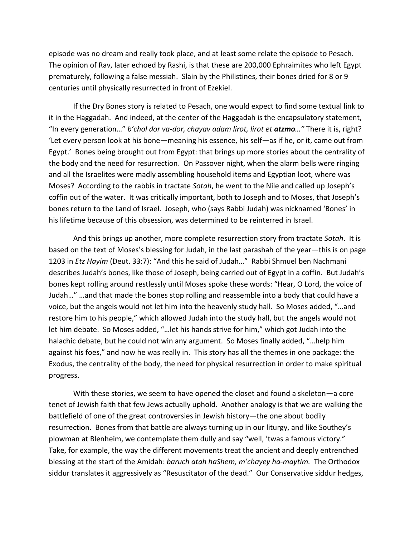episode was no dream and really took place, and at least some relate the episode to Pesach. The opinion of Rav, later echoed by Rashi, is that these are 200,000 Ephraimites who left Egypt prematurely, following a false messiah. Slain by the Philistines, their bones dried for 8 or 9 centuries until physically resurrected in front of Ezekiel.

If the Dry Bones story is related to Pesach, one would expect to find some textual link to it in the Haggadah. And indeed, at the center of the Haggadah is the encapsulatory statement, "In every generation…" *b'chol dor va-dor, chayav adam lirot, lirot et atzmo…"* There it is, right? 'Let every person look at his bone—meaning his essence, his self—as if he, or it, came out from Egypt.' Bones being brought out from Egypt: that brings up more stories about the centrality of the body and the need for resurrection. On Passover night, when the alarm bells were ringing and all the Israelites were madly assembling household items and Egyptian loot, where was Moses? According to the rabbis in tractate *Sotah*, he went to the Nile and called up Joseph's coffin out of the water. It was critically important, both to Joseph and to Moses, that Joseph's bones return to the Land of Israel. Joseph, who (says Rabbi Judah) was nicknamed 'Bones' in his lifetime because of this obsession, was determined to be reinterred in Israel.

And this brings up another, more complete resurrection story from tractate *Sotah*. It is based on the text of Moses's blessing for Judah, in the last parashah of the year—this is on page 1203 in *Etz Hayim* (Deut. 33:7): "And this he said of Judah…" Rabbi Shmuel ben Nachmani describes Judah's bones, like those of Joseph, being carried out of Egypt in a coffin. But Judah's bones kept rolling around restlessly until Moses spoke these words: "Hear, O Lord, the voice of Judah…" …and that made the bones stop rolling and reassemble into a body that could have a voice, but the angels would not let him into the heavenly study hall. So Moses added, "…and restore him to his people," which allowed Judah into the study hall, but the angels would not let him debate. So Moses added, "... let his hands strive for him," which got Judah into the halachic debate, but he could not win any argument. So Moses finally added, "…help him against his foes," and now he was really in. This story has all the themes in one package: the Exodus, the centrality of the body, the need for physical resurrection in order to make spiritual progress.

With these stories, we seem to have opened the closet and found a skeleton—a core tenet of Jewish faith that few Jews actually uphold. Another analogy is that we are walking the battlefield of one of the great controversies in Jewish history—the one about bodily resurrection. Bones from that battle are always turning up in our liturgy, and like Southey's plowman at Blenheim, we contemplate them dully and say "well, 'twas a famous victory." Take, for example, the way the different movements treat the ancient and deeply entrenched blessing at the start of the Amidah: *baruch atah haShem, m'chayey ha-maytim.* The Orthodox siddur translates it aggressively as "Resuscitator of the dead." Our Conservative siddur hedges,